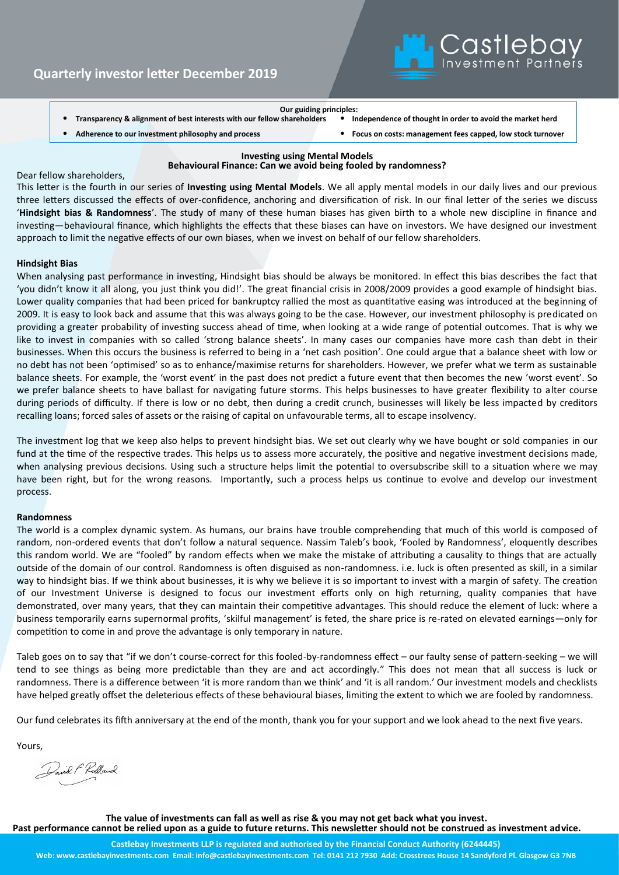

**Our guiding principles: Transparency & alignment of best interests with our fellow shareholders** 

• **Adherence to our investment philosophy and process** • **Focus on costs: management fees capped, low stock turnover**

**Investing using Mental Models**

### **Behavioural Finance: Can we avoid being fooled by randomness?**

Dear fellow shareholders,

This letter is the fourth in our series of **Investing using Mental Models**. We all apply mental models in our daily lives and our previous three letters discussed the effects of over-confidence, anchoring and diversification of risk. In our final letter of the series we discuss '**Hindsight bias & Randomness**'. The study of many of these human biases has given birth to a whole new discipline in finance and investing—behavioural finance, which highlights the effects that these biases can have on investors. We have designed our investment approach to limit the negative effects of our own biases, when we invest on behalf of our fellow shareholders.

### **Hindsight Bias**

When analysing past performance in investing, Hindsight bias should be always be monitored. In effect this bias describes the fact that 'you didn't know it all along, you just think you did!'. The great financial crisis in 2008/2009 provides a good example of hindsight bias. Lower quality companies that had been priced for bankruptcy rallied the most as quantitative easing was introduced at the beginning of 2009. It is easy to look back and assume that this was always going to be the case. However, our investment philosophy is predicated on providing a greater probability of investing success ahead of time, when looking at a wide range of potential outcomes. That is why we like to invest in companies with so called 'strong balance sheets'. In many cases our companies have more cash than debt in their businesses. When this occurs the business is referred to being in a 'net cash position'. One could argue that a balance sheet with low or no debt has not been 'optimised' so as to enhance/maximise returns for shareholders. However, we prefer what we term as sustainable balance sheets. For example, the 'worst event' in the past does not predict a future event that then becomes the new 'worst event'. So we prefer balance sheets to have ballast for navigating future storms. This helps businesses to have greater flexibility to alter course during periods of difficulty. If there is low or no debt, then during a credit crunch, businesses will likely be less impacted by creditors recalling loans; forced sales of assets or the raising of capital on unfavourable terms, all to escape insolvency.

The investment log that we keep also helps to prevent hindsight bias. We set out clearly why we have bought or sold companies in our fund at the time of the respective trades. This helps us to assess more accurately, the positive and negative investment decisions made, when analysing previous decisions. Using such a structure helps limit the potential to oversubscribe skill to a situation where we may have been right, but for the wrong reasons. Importantly, such a process helps us continue to evolve and develop our investment process.

### **Randomness**

The world is a complex dynamic system. As humans, our brains have trouble comprehending that much of this world is composed of random, non-ordered events that don't follow a natural sequence. Nassim Taleb's book, 'Fooled by Randomness', eloquently describes this random world. We are "fooled" by random effects when we make the mistake of attributing a causality to things that are actually outside of the domain of our control. Randomness is often disguised as non-randomness. i.e. luck is often presented as skill, in a similar way to hindsight bias. If we think about businesses, it is why we believe it is so important to invest with a margin of safety. The creation of our Investment Universe is designed to focus our investment efforts only on high returning, quality companies that have demonstrated, over many years, that they can maintain their competitive advantages. This should reduce the element of luck: where a business temporarily earns supernormal profits, 'skilful management' is feted, the share price is re-rated on elevated earnings—only for competition to come in and prove the advantage is only temporary in nature.

Taleb goes on to say that "if we don't course-correct for this fooled-by-randomness effect – our faulty sense of pattern-seeking – we will tend to see things as being more predictable than they are and act accordingly." This does not mean that all success is luck or randomness. There is a difference between 'it is more random than we think' and 'it is all random.' Our investment models and checklists have helped greatly offset the deleterious effects of these behavioural biases, limiting the extent to which we are fooled by randomness.

Our fund celebrates its fifth anniversary at the end of the month, thank you for your support and we look ahead to the next five years.

Yours,

Pavid F Ridland

**The value of investments can fall as well as rise & you may not get back what you invest. Past performance cannot be relied upon as a guide to future returns. This newsletter should not be construed as investment advice.**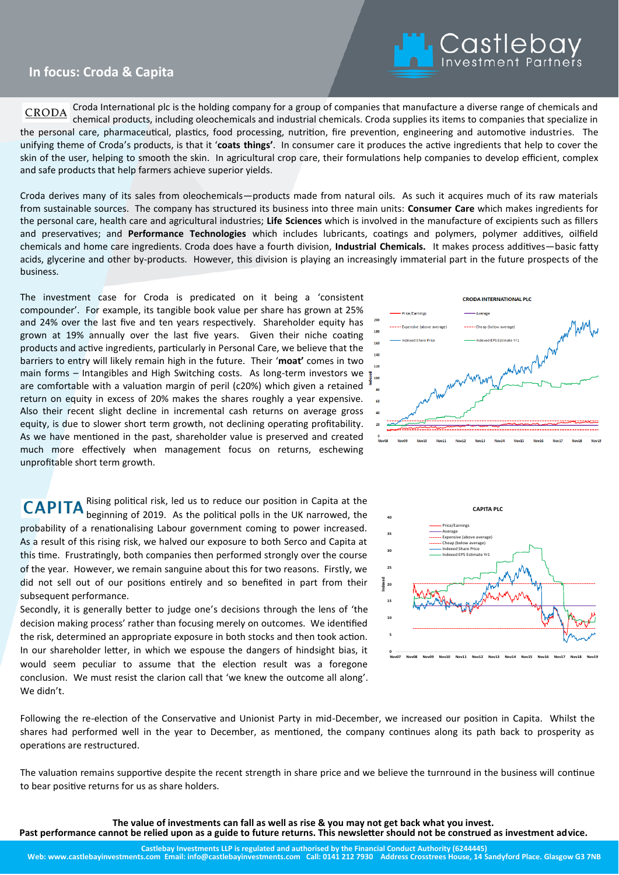## **In Focus In focus: Croda & Capita**

Croda International plc is the holding company for a group of companies that manufacture a diverse range of chemicals and **CRODA** chemical products, including oleochemicals and industrial chemicals. Croda supplies its items to companies that specialize in the personal care, pharmaceutical, plastics, food processing, nutrition, fire prevention, engineering and automotive industries. The unifying theme of Croda's products, is that it '**coats things'**. In consumer care it produces the active ingredients that help to cover the skin of the user, helping to smooth the skin. In agricultural crop care, their formulations help companies to develop efficient, complex and safe products that help farmers achieve superior yields.

Croda derives many of its sales from oleochemicals—products made from natural oils. As such it acquires much of its raw materials from sustainable sources. The company has structured its business into three main units: **Consumer Care** which makes ingredients for the personal care, health care and agricultural industries; **Life Sciences** which is involved in the manufacture of excipients such as fillers and preservatives; and **Performance Technologies** which includes lubricants, coatings and polymers, polymer additives, oilfield chemicals and home care ingredients. Croda does have a fourth division, **Industrial Chemicals.** It makes process additives—basic fatty acids, glycerine and other by-products. However, this division is playing an increasingly immaterial part in the future prospects of the business.

The investment case for Croda is predicated on it being a 'consistent compounder'. For example, its tangible book value per share has grown at 25% and 24% over the last five and ten years respectively. Shareholder equity has grown at 19% annually over the last five years. Given their niche coating products and active ingredients, particularly in Personal Care, we believe that the barriers to entry will likely remain high in the future. Their '**moat'** comes in two main forms – Intangibles and High Switching costs. As long-term investors we are comfortable with a valuation margin of peril (c20%) which given a retained return on equity in excess of 20% makes the shares roughly a year expensive. Also their recent slight decline in incremental cash returns on average gross equity, is due to slower short term growth, not declining operating profitability. As we have mentioned in the past, shareholder value is preserved and created much more effectively when management focus on returns, eschewing unprofitable short term growth.



L Castlebay

Rising political risk, led us to reduce our position in Capita at the beginning of 2019. As the political polls in the UK narrowed, the probability of a renationalising Labour government coming to power increased. As a result of this rising risk, we halved our exposure to both Serco and Capita at this time. Frustratingly, both companies then performed strongly over the course of the year. However, we remain sanguine about this for two reasons. Firstly, we did not sell out of our positions entirely and so benefited in part from their subsequent performance.

Secondly, it is generally better to judge one's decisions through the lens of 'the decision making process' rather than focusing merely on outcomes. We identified the risk, determined an appropriate exposure in both stocks and then took action. In our shareholder letter, in which we espouse the dangers of hindsight bias, it would seem peculiar to assume that the election result was a foregone conclusion. We must resist the clarion call that 'we knew the outcome all along'. We didn't.



Following the re-election of the Conservative and Unionist Party in mid-December, we increased our position in Capita. Whilst the shares had performed well in the year to December, as mentioned, the company continues along its path back to prosperity as operations are restructured.

The valuation remains supportive despite the recent strength in share price and we believe the turnround in the business will continue to bear positive returns for us as share holders.

**The value of investments can fall as well as rise & you may not get back what you invest.** 

**Past performance cannot be relied upon as a guide to future returns. This newsletter should not be construed as investment advice.**